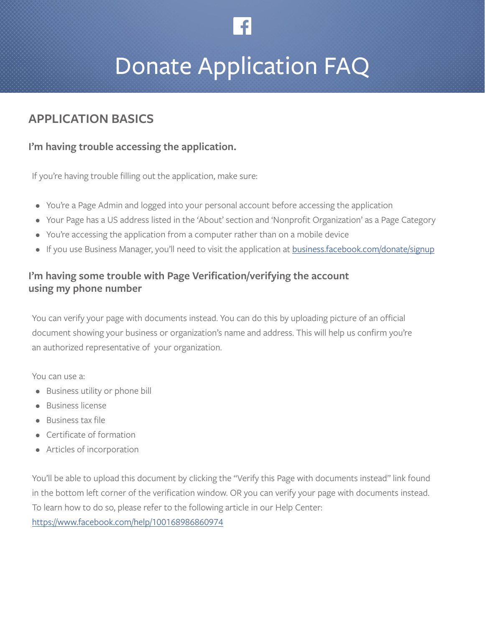

# Donate Application FAQ

# **APPLICATION BASICS**

# **I'm having trouble accessing the application.**

If you're having trouble filling out the application, make sure:

- You're a Page Admin and logged into your personal account before accessing the application
- Your Page has a US address listed in the 'About' section and 'Nonprofit Organization' as a Page Category
- You're accessing the application from a computer rather than on a mobile device
- If you use Business Manager, you'll need to visit the application at **business.facebook.com/donate/signup**

# **I'm having some trouble with Page Verification/verifying the account using my phone number**

You can verify your page with documents instead. You can do this by uploading picture of an official document showing your business or organization's name and address. This will help us confirm you're an authorized representative of your organization.

You can use a:

- Business utility or phone bill
- Business license
- Business tax file
- Certificate of formation
- Articles of incorporation

You'll be able to upload this document by clicking the "Verify this Page with documents instead" link found in the bottom left corner of the verification window. OR you can verify your page with documents instead. To learn how to do so, please refer to the following article in our Help Center: [https://www.facebook.com/help/100168986860974](https://www.facebook.com/help/100168986860974 )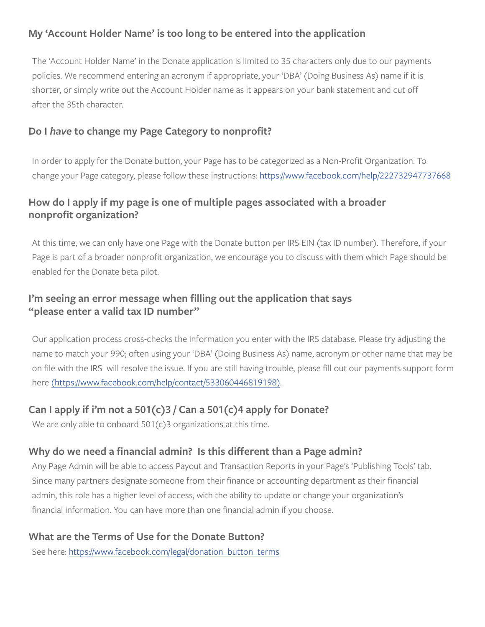# **My 'Account Holder Name' is too long to be entered into the application**

The 'Account Holder Name' in the Donate application is limited to 35 characters only due to our payments policies. We recommend entering an acronym if appropriate, your 'DBA' (Doing Business As) name if it is shorter, or simply write out the Account Holder name as it appears on your bank statement and cut off after the 35th character.

# **Do I** *have* **to change my Page Category to nonprofit?**

In order to apply for the Donate button, your Page has to be categorized as a Non-Profit Organization. To change your Page category, please follow these instructions: <https://www.facebook.com/help/222732947737668>

# **How do I apply if my page is one of multiple pages associated with a broader nonprofit organization?**

At this time, we can only have one Page with the Donate button per IRS EIN (tax ID number). Therefore, if your Page is part of a broader nonprofit organization, we encourage you to discuss with them which Page should be enabled for the Donate beta pilot.

# **I'm seeing an error message when filling out the application that says "please enter a valid tax ID number"**

Our application process cross-checks the information you enter with the IRS database. Please try adjusting the name to match your 990; often using your 'DBA' (Doing Business As) name, acronym or other name that may be on file with the IRS will resolve the issue. If you are still having trouble, please fill out our payments support form here [\(https://www.facebook.com/help/contact/533060446819198\).]((https://www.facebook.com/help/contact/533060446819198))

# **Can I apply if i'm not a 501(c)3 / Can a 501(c)4 apply for Donate?**

We are only able to onboard 501(c)3 organizations at this time.

# **Why do we need a financial admin? Is this different than a Page admin?**

Any Page Admin will be able to access Payout and Transaction Reports in your Page's 'Publishing Tools' tab. Since many partners designate someone from their finance or accounting department as their financial admin, this role has a higher level of access, with the ability to update or change your organization's financial information. You can have more than one financial admin if you choose.

# **What are the Terms of Use for the Donate Button?**

See here: [https://www.facebook.com/legal/donation\\_button\\_terms](https://www.facebook.com/legal/donation_button_terms)